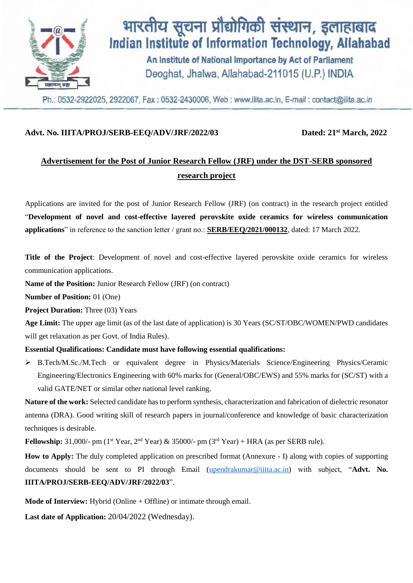

### Advt. No. IIITA/PROJ/SERB-EEQ/ADV/JRF/2022/03

Dated: 21<sup>st</sup> March, 2022

## **Advertisement for the Post of Junior Research Fellow (JRF) under the DST-SERB sponsored research project**

Applications are invited for the post of Junior Research Fellow (JRF) (on contract) in the research project entitled "**Development of novel and cost-effective layered perovskite oxide ceramics for wireless communication applications**" in reference to the sanction letter / grant no.: **SERB/EEQ/2021/000132**, dated: 17 March 2022.

**Title of the Project**: Development of novel and cost-effective layered perovskite oxide ceramics for wireless communication applications.

**Name of the Position:** Junior Research Fellow (JRF) (on contract)

**Number of Position:** 01 (One)

**Project Duration:** Three (03) Years

**Age Limit:** The upper age limit (as of the last date of application) is 30 Years (SC/ST/OBC/WOMEN/PWD candidates will get relaxation as per Govt. of India Rules).

#### **Essential Qualifications: Candidate must have following essential qualifications:**

 B.Tech/M.Sc./M.Tech or equivalent degree in Physics/Materials Science/Engineering Physics/Ceramic Engineering/Electronics Engineering with 60% marks for (General/OBC/EWS) and 55% marks for (SC/ST) with a valid GATE/NET or similar other national level ranking.

**Nature of the work:** Selected candidate has to perform synthesis, characterization and fabrication of dielectric resonator antenna (DRA). Good writing skill of research papers in journal/conference and knowledge of basic characterization techniques is desirable.

**Fellowship:** 31,000/- pm ( $1<sup>st</sup> Year, 2<sup>nd</sup> Year) & 35000/-$  pm ( $3<sup>rd</sup> Year$ ) + HRA (as per SERB rule).

**How to Apply:** The duly completed application on prescribed format (Annexure - I) along with copies of supporting documents should be sent to PI through Email [\(upendrakumar@iiita.ac.in\)](mailto:upendrakumar@iiita.ac.in) with subject, "**Advt. No. IIITA/PROJ/SERB-EEQ/ADV/JRF/2022/03**".

**Mode of Interview:** Hybrid (Online + Offline) or intimate through email.

**Last date of Application:** 20/04/2022 (Wednesday).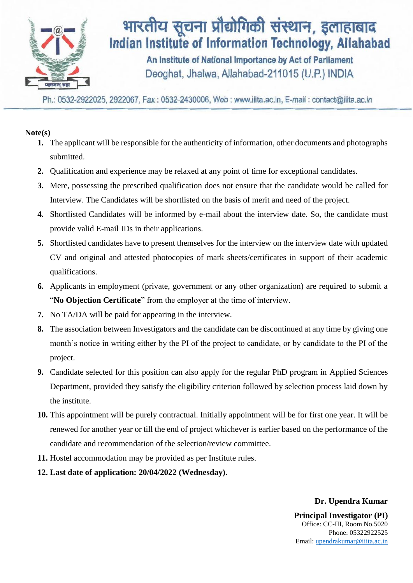

# भारतीय सूचना प्रौद्योगिकी संस्थान, इलाहाबाद Indian Institute of Information Technology, Allahabad

An Institute of National Importance by Act of Parliament Deoghat, Jhalwa, Allahabad-211015 (U.P.) INDIA

Ph.: 0532-2922025, 2922067, Fax: 0532-2430006, Web: www.iiita.ac.in, E-mail: contact@iiita.ac.in

### **Note(s)**

- **1.** The applicant will be responsible for the authenticity of information, other documents and photographs submitted.
- **2.** Qualification and experience may be relaxed at any point of time for exceptional candidates.
- **3.** Mere, possessing the prescribed qualification does not ensure that the candidate would be called for Interview. The Candidates will be shortlisted on the basis of merit and need of the project.
- **4.** Shortlisted Candidates will be informed by e-mail about the interview date. So, the candidate must provide valid E-mail IDs in their applications.
- **5.** Shortlisted candidates have to present themselves for the interview on the interview date with updated CV and original and attested photocopies of mark sheets/certificates in support of their academic qualifications.
- **6.** Applicants in employment (private, government or any other organization) are required to submit a "**No Objection Certificate**" from the employer at the time of interview.
- **7.** No TA/DA will be paid for appearing in the interview.
- **8.** The association between Investigators and the candidate can be discontinued at any time by giving one month's notice in writing either by the PI of the project to candidate, or by candidate to the PI of the project.
- **9.** Candidate selected for this position can also apply for the regular PhD program in Applied Sciences Department, provided they satisfy the eligibility criterion followed by selection process laid down by the institute.
- **10.** This appointment will be purely contractual. Initially appointment will be for first one year. It will be renewed for another year or till the end of project whichever is earlier based on the performance of the candidate and recommendation of the selection/review committee.
- **11.** Hostel accommodation may be provided as per Institute rules.
- **12. Last date of application: 20/04/2022 (Wednesday).**

#### **Dr. Upendra Kumar**

**Principal Investigator (PI)** Office: CC-III, Room No.5020 Phone: 05322922525 Email: [upendrakumar@iiita.ac.in](mailto:upendrakumar@iiita.ac.in)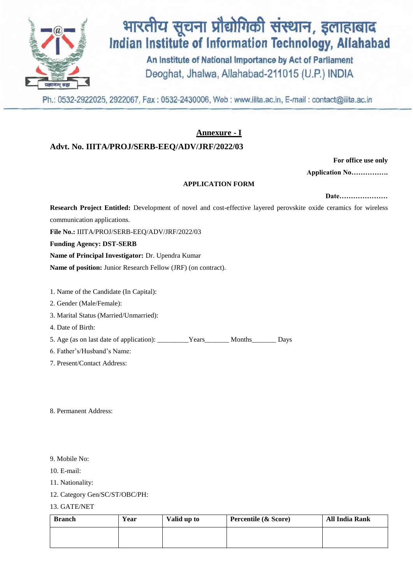

# भारतीय सूचना प्रौद्योगिकी संस्थान, इलाहाबाद **Indian Institute of Information Technology, Allahabad**

An Institute of National Importance by Act of Parliament Deoghat, Jhalwa, Allahabad-211015 (U.P.) INDIA

Ph.: 0532-2922025, 2922067, Fax: 0532-2430006, Web: www.iiita.ac.in, E-mail: contact@iiita.ac.in

### **Annexure - I**

#### **Advt. No. IIITA/PROJ/SERB-EEQ/ADV/JRF/2022/03**

**For office use only** 

**Application No…………….**

#### **APPLICATION FORM**

**Date…………………**

**Research Project Entitled:** Development of novel and cost-effective layered perovskite oxide ceramics for wireless communication applications. **File No.:** IIITA/PROJ/SERB-EEQ/ADV/JRF/2022/03 **Funding Agency: DST-SERB Name of Principal Investigator:** Dr. Upendra Kumar **Name of position:** Junior Research Fellow (JRF) (on contract).

1. Name of the Candidate (In Capital):

2. Gender (Male/Female):

3. Marital Status (Married/Unmarried):

4. Date of Birth:

5. Age (as on last date of application): \_\_\_\_\_\_\_\_\_Years\_\_\_\_\_\_\_ Months\_\_\_\_\_\_\_ Days

6. Father's/Husband's Name:

7. Present/Contact Address:

8. Permanent Address:

- 9. Mobile No:
- 10. E-mail:
- 11. Nationality:
- 12. Category Gen/SC/ST/OBC/PH:
- 13. GATE/NET

| <b>Branch</b> | Year | Valid up to | Percentile (& Score) | <b>All India Rank</b> |
|---------------|------|-------------|----------------------|-----------------------|
|               |      |             |                      |                       |
|               |      |             |                      |                       |